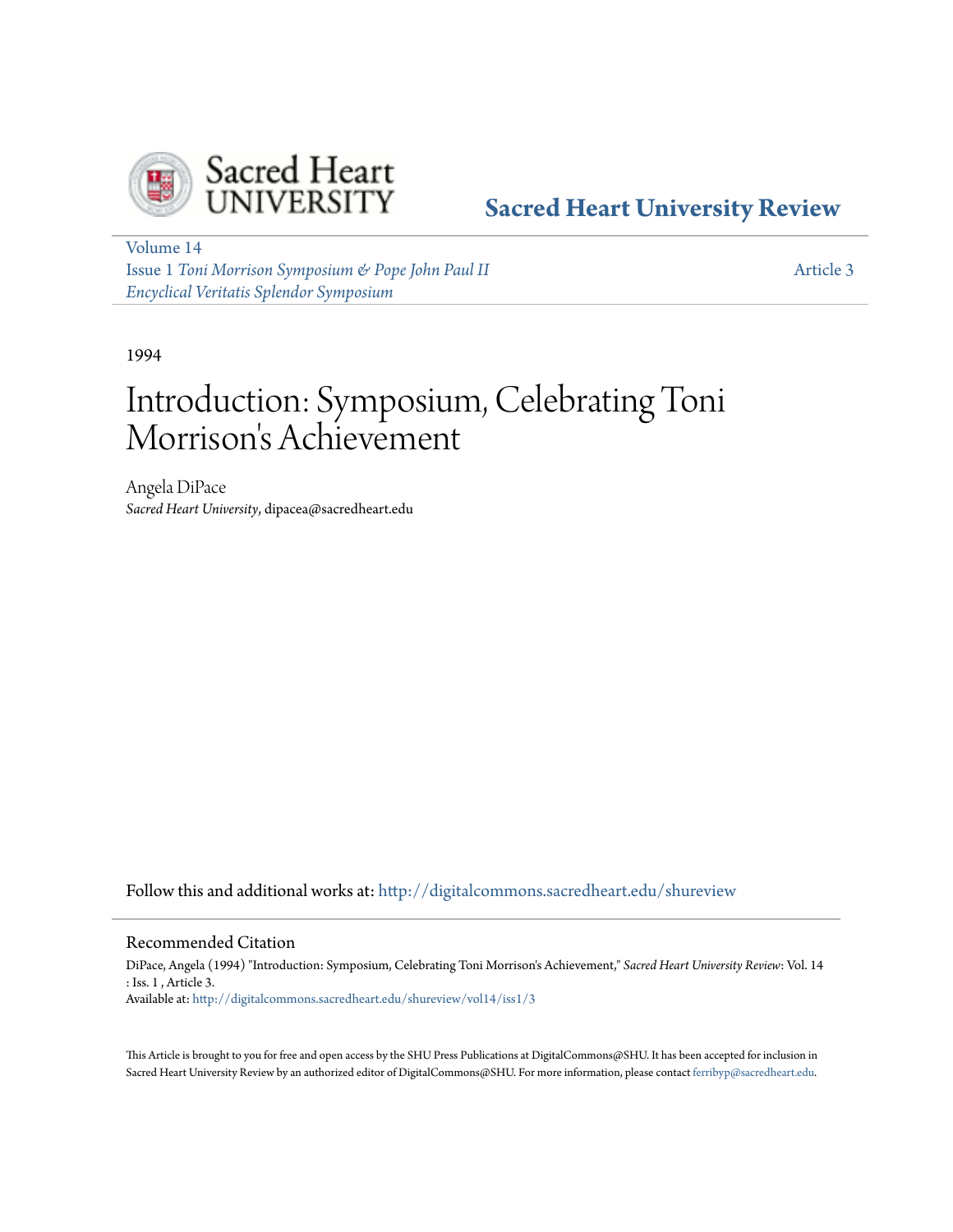

# **[Sacred Heart University Review](http://digitalcommons.sacredheart.edu/shureview?utm_source=digitalcommons.sacredheart.edu%2Fshureview%2Fvol14%2Fiss1%2F3&utm_medium=PDF&utm_campaign=PDFCoverPages)**

[Volume 14](http://digitalcommons.sacredheart.edu/shureview/vol14?utm_source=digitalcommons.sacredheart.edu%2Fshureview%2Fvol14%2Fiss1%2F3&utm_medium=PDF&utm_campaign=PDFCoverPages) Issue 1 *[Toni Morrison Symposium & Pope John Paul II](http://digitalcommons.sacredheart.edu/shureview/vol14/iss1?utm_source=digitalcommons.sacredheart.edu%2Fshureview%2Fvol14%2Fiss1%2F3&utm_medium=PDF&utm_campaign=PDFCoverPages) [Encyclical Veritatis Splendor Symposium](http://digitalcommons.sacredheart.edu/shureview/vol14/iss1?utm_source=digitalcommons.sacredheart.edu%2Fshureview%2Fvol14%2Fiss1%2F3&utm_medium=PDF&utm_campaign=PDFCoverPages)*

[Article 3](http://digitalcommons.sacredheart.edu/shureview/vol14/iss1/3?utm_source=digitalcommons.sacredheart.edu%2Fshureview%2Fvol14%2Fiss1%2F3&utm_medium=PDF&utm_campaign=PDFCoverPages)

1994

# Introduction: Symposium, Celebrating Toni Morrison 's Achievement

Angela DiPace *Sacred Heart University*, dipacea@sacredheart.edu

Follow this and additional works at: [http://digitalcommons.sacredheart.edu/shureview](http://digitalcommons.sacredheart.edu/shureview?utm_source=digitalcommons.sacredheart.edu%2Fshureview%2Fvol14%2Fiss1%2F3&utm_medium=PDF&utm_campaign=PDFCoverPages)

#### Recommended Citation

DiPace, Angela (1994) "Introduction: Symposium, Celebrating Toni Morrison's Achievement," *Sacred Heart University Review*: Vol. 14 : Iss. 1 , Article 3. Available at: [http://digitalcommons.sacredheart.edu/shureview/vol14/iss1/3](http://digitalcommons.sacredheart.edu/shureview/vol14/iss1/3?utm_source=digitalcommons.sacredheart.edu%2Fshureview%2Fvol14%2Fiss1%2F3&utm_medium=PDF&utm_campaign=PDFCoverPages)

This Article is brought to you for free and open access by the SHU Press Publications at DigitalCommons@SHU. It has been accepted for inclusion in Sacred Heart University Review by an authorized editor of DigitalCommons@SHU. For more information, please contact [ferribyp@sacredheart.edu](mailto:ferribyp@sacredheart.edu).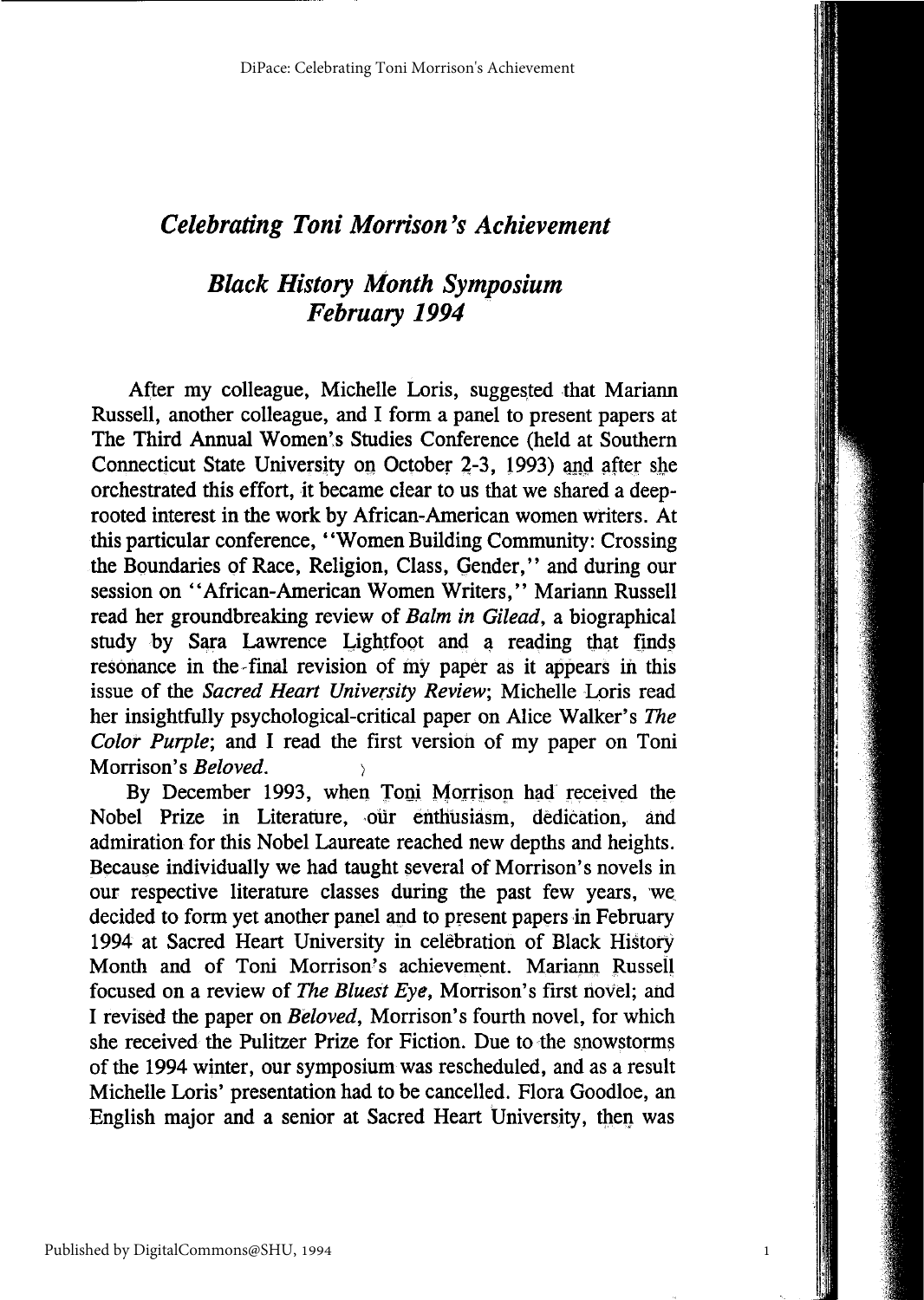## *Celebrating Toni Morrison's Achievement*

## *Black History Month Symposium February 1994*

After my colleague, Michelle Loris, suggested that Mariann Russell, another colleague, and I form a panel to present papers at The Third Annual Women's Studies Conference (held at Southern Connecticut State University on October 2-3, 1993) and after she orchestrated this effort, it became clear to us that we shared a deeprooted interest in the work by African-American women writers. At this particular conference, "Women Building Community: Crossing the Boundaries of Race, Religion, Class, Gender," and during our session on "African-American Women Writers," Mariann Russell read her groundbreaking review of *Balm in Gilead,* a biographical study by Sara Lawrence Lightfoot and a reading that finds resonance in the final revision of my paper as it appears in this issue of the *Sacred Heart University Review,* Michelle Loris read her insightfully psychological-critical paper on Alice Walker's *The Color Purple;* and I read the first version of my paper on Toni Morrison's *Beloved*.

By December 1993, when Toni Morrison had received the Nobel Prize in Literature, our enthusiasm, dedication, and admiration for this Nobel Laureate reached new depths and heights. Because individually we had taught several of Morrison's novels in our respective literature classes during the past few years, we decided to form yet another panel and to present papers in February 1994 at Sacred Heart University in celebration of Black History Month and of Toni Morrison's achievement. Mariann Russell focused on a review of *The Bluest Eye,* Morrison's first novel; and I revised the paper on *Beloved,* Morrison's fourth novel, for which she received the Pulitzer Prize for Fiction. Due to the snowstorms of the 1994 winter, our symposium was rescheduled, and as a result Michelle Loris' presentation had to be cancelled. Flora Goodloe, an English major and a senior at Sacred Heart University, then was

1